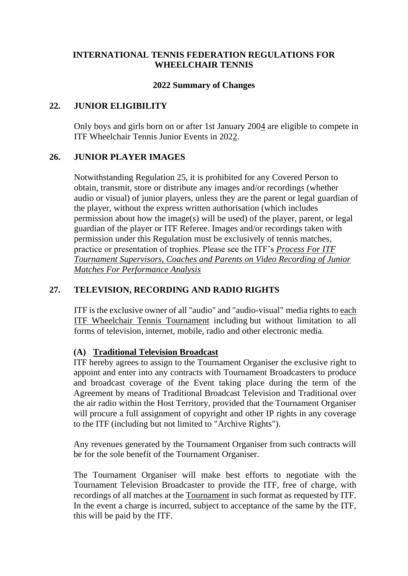#### **INTERNATIONAL TENNIS FEDERATION REGULATIONS FOR WHEELCHAIR TENNIS**

#### **2022 Summary of Changes**

#### **22. JUNIOR ELIGIBILITY**

Only boys and girls born on or after 1st January 2004 are eligible to compete in ITF Wheelchair Tennis Junior Events in 2022.

#### **26. JUNIOR PLAYER IMAGES**

Notwithstanding Regulation 25, it is prohibited for any Covered Person to obtain, transmit, store or distribute any images and/or recordings (whether audio or visual) of junior players, unless they are the parent or legal guardian of the player, without the express written authorisation (which includes permission about how the image(s) will be used) of the player, parent, or legal guardian of the player or ITF Referee. Images and/or recordings taken with permission under this Regulation must be exclusively of tennis matches, practice or presentation of trophies. Please see the ITF's *Process For ITF Tournament Supervisors, Coaches and Parents on Video Recording of Junior Matches For Performance Analysis*

## **27. TELEVISION, RECORDING AND RADIO RIGHTS**

ITF is the exclusive owner of all "audio" and "audio-visual" media rights to each ITF Wheelchair Tennis Tournament including but without limitation to all forms of television, internet, mobile, radio and other electronic media.

## **(A) Traditional Television Broadcast**

ITF hereby agrees to assign to the Tournament Organiser the exclusive right to appoint and enter into any contracts with Tournament Broadcasters to produce and broadcast coverage of the Event taking place during the term of the Agreement by means of Traditional Broadcast Television and Traditional over the air radio within the Host Territory, provided that the Tournament Organiser will procure a full assignment of copyright and other IP rights in any coverage to the ITF (including but not limited to "Archive Rights").

Any revenues generated by the Tournament Organiser from such contracts will be for the sole benefit of the Tournament Organiser.

The Tournament Organiser will make best efforts to negotiate with the Tournament Television Broadcaster to provide the ITF, free of charge, with recordings of all matches at the Tournament in such format as requested by ITF. In the event a charge is incurred, subject to acceptance of the same by the ITF. this will be paid by the ITF.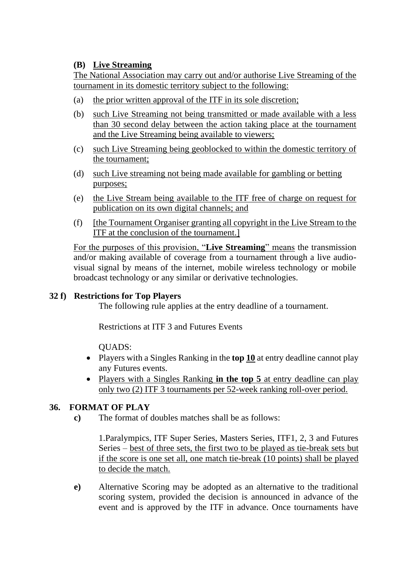# **(B) Live Streaming**

The National Association may carry out and/or authorise Live Streaming of the tournament in its domestic territory subject to the following:

- (a) the prior written approval of the ITF in its sole discretion;
- (b) such Live Streaming not being transmitted or made available with a less than 30 second delay between the action taking place at the tournament and the Live Streaming being available to viewers;
- (c) such Live Streaming being geoblocked to within the domestic territory of the tournament;
- (d) such Live streaming not being made available for gambling or betting purposes;
- (e) the Live Stream being available to the ITF free of charge on request for publication on its own digital channels; and
- (f) [the Tournament Organiser granting all copyright in the Live Stream to the ITF at the conclusion of the tournament.]

For the purposes of this provision, "**Live Streaming**" means the transmission and/or making available of coverage from a tournament through a live audiovisual signal by means of the internet, mobile wireless technology or mobile broadcast technology or any similar or derivative technologies.

# **32 f) Restrictions for Top Players**

The following rule applies at the entry deadline of a tournament.

Restrictions at ITF 3 and Futures Events

QUADS:

- Players with a Singles Ranking in the **top 10** at entry deadline cannot play any Futures events.
- Players with a Singles Ranking **in the top 5** at entry deadline can play only two (2) ITF 3 tournaments per 52-week ranking roll-over period.

## **36. FORMAT OF PLAY**

**c)** The format of doubles matches shall be as follows:

1.Paralympics, ITF Super Series, Masters Series, ITF1, 2, 3 and Futures Series – best of three sets, the first two to be played as tie-break sets but if the score is one set all, one match tie-break (10 points) shall be played to decide the match.

**e)** Alternative Scoring may be adopted as an alternative to the traditional scoring system, provided the decision is announced in advance of the event and is approved by the ITF in advance. Once tournaments have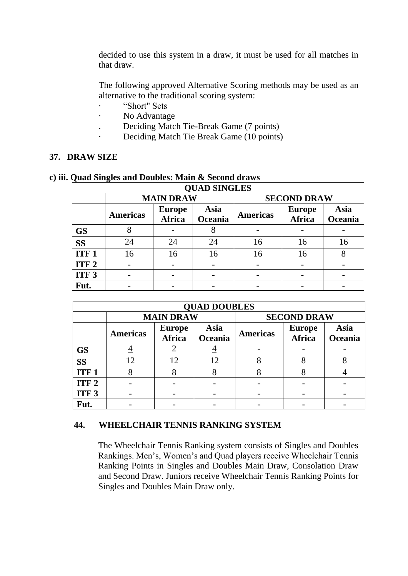decided to use this system in a draw, it must be used for all matches in that draw.

The following approved Alternative Scoring methods may be used as an alternative to the traditional scoring system:

- · "Short" Sets
- · No Advantage
- . Deciding Match Tie-Break Game (7 points)
- Deciding Match Tie Break Game (10 points)

#### **37. DRAW SIZE**

| <b>QUAD SINGLES</b> |                  |                                |                 |                    |                         |                 |  |  |  |  |
|---------------------|------------------|--------------------------------|-----------------|--------------------|-------------------------|-----------------|--|--|--|--|
|                     | <b>MAIN DRAW</b> |                                |                 | <b>SECOND DRAW</b> |                         |                 |  |  |  |  |
|                     | <b>Americas</b>  | <b>Europe</b><br><b>Africa</b> | Asia<br>Oceania | <b>Americas</b>    | <b>Europe</b><br>Africa | Asia<br>Oceania |  |  |  |  |
| <b>GS</b>           | ð                |                                | Ō               |                    |                         |                 |  |  |  |  |
| <b>SS</b>           | 24               | 24                             | 24              | 16                 | 16                      | 16              |  |  |  |  |
| ITF <sub>1</sub>    | 16               | 16                             | 16              | 16                 | 16                      |                 |  |  |  |  |
| ITF <sub>2</sub>    |                  |                                |                 |                    |                         |                 |  |  |  |  |
| ITF <sub>3</sub>    |                  |                                |                 |                    |                         |                 |  |  |  |  |
| Fut.                |                  |                                |                 |                    |                         |                 |  |  |  |  |

#### **c) iii. Quad Singles and Doubles: Main & Second draws**

| <b>QUAD DOUBLES</b> |                  |                                |                 |                    |                                |                 |  |  |  |
|---------------------|------------------|--------------------------------|-----------------|--------------------|--------------------------------|-----------------|--|--|--|
|                     | <b>MAIN DRAW</b> |                                |                 | <b>SECOND DRAW</b> |                                |                 |  |  |  |
|                     | <b>Americas</b>  | <b>Europe</b><br><b>Africa</b> | Asia<br>Oceania | <b>Americas</b>    | <b>Europe</b><br><b>Africa</b> | Asia<br>Oceania |  |  |  |
| <b>GS</b>           |                  |                                | →               |                    |                                |                 |  |  |  |
| <b>SS</b>           | 12               | 12                             | 12              | 8                  |                                |                 |  |  |  |
| <b>ITF1</b>         |                  |                                |                 |                    |                                |                 |  |  |  |
| ITF <sub>2</sub>    |                  |                                |                 |                    |                                |                 |  |  |  |
| ITF <sub>3</sub>    |                  |                                |                 |                    |                                |                 |  |  |  |
| Fut.                |                  |                                |                 |                    |                                |                 |  |  |  |

## **44. WHEELCHAIR TENNIS RANKING SYSTEM**

The Wheelchair Tennis Ranking system consists of Singles and Doubles Rankings. Men's, Women's and Quad players receive Wheelchair Tennis Ranking Points in Singles and Doubles Main Draw, Consolation Draw and Second Draw. Juniors receive Wheelchair Tennis Ranking Points for Singles and Doubles Main Draw only.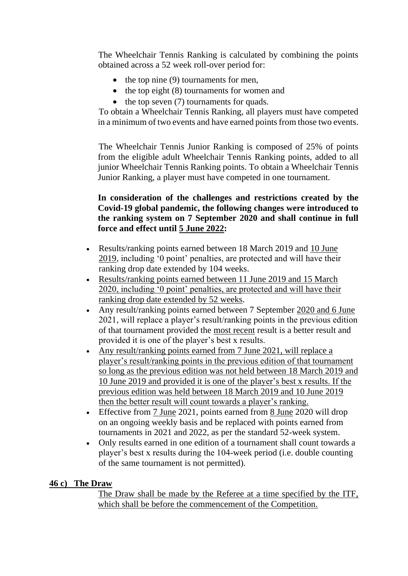The Wheelchair Tennis Ranking is calculated by combining the points obtained across a 52 week roll-over period for:

- the top nine (9) tournaments for men,
- the top eight (8) tournaments for women and
- the top seven (7) tournaments for quads.

To obtain a Wheelchair Tennis Ranking, all players must have competed in a minimum of two events and have earned points from those two events.

The Wheelchair Tennis Junior Ranking is composed of 25% of points from the eligible adult Wheelchair Tennis Ranking points, added to all junior Wheelchair Tennis Ranking points. To obtain a Wheelchair Tennis Junior Ranking, a player must have competed in one tournament.

# **In consideration of the challenges and restrictions created by the Covid-19 global pandemic, the following changes were introduced to the ranking system on 7 September 2020 and shall continue in full force and effect until 5 June 2022:**

- Results/ranking points earned between 18 March 2019 and 10 June 2019, including '0 point' penalties, are protected and will have their ranking drop date extended by 104 weeks.
- Results/ranking points earned between 11 June 2019 and 15 March 2020, including '0 point' penalties, are protected and will have their ranking drop date extended by 52 weeks.
- Any result/ranking points earned between 7 September 2020 and 6 June 2021, will replace a player's result/ranking points in the previous edition of that tournament provided the most recent result is a better result and provided it is one of the player's best x results.
- Any result/ranking points earned from 7 June 2021, will replace a player's result/ranking points in the previous edition of that tournament so long as the previous edition was not held between 18 March 2019 and 10 June 2019 and provided it is one of the player's best x results. If the previous edition was held between 18 March 2019 and 10 June 2019 then the better result will count towards a player's ranking.
- Effective from 7 June 2021, points earned from 8 June 2020 will drop on an ongoing weekly basis and be replaced with points earned from tournaments in 2021 and 2022, as per the standard 52-week system.
- Only results earned in one edition of a tournament shall count towards a player's best x results during the 104-week period (i.e. double counting of the same tournament is not permitted).

## **46 c) The Draw**

The Draw shall be made by the Referee at a time specified by the ITF, which shall be before the commencement of the Competition.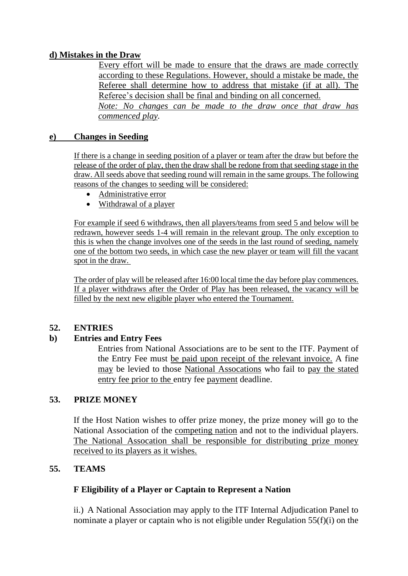# **d) Mistakes in the Draw**

Every effort will be made to ensure that the draws are made correctly according to these Regulations. However, should a mistake be made, the Referee shall determine how to address that mistake (if at all). The Referee's decision shall be final and binding on all concerned. *Note: No changes can be made to the draw once that draw has* 

*commenced play.*

#### **e) Changes in Seeding**

If there is a change in seeding position of a player or team after the draw but before the release of the order of play, then the draw shall be redone from that seeding stage in the draw. All seeds above that seeding round will remain in the same groups. The following reasons of the changes to seeding will be considered:

- Administrative error
- Withdrawal of a player

For example if seed 6 withdraws, then all players/teams from seed 5 and below will be redrawn, however seeds 1-4 will remain in the relevant group. The only exception to this is when the change involves one of the seeds in the last round of seeding, namely one of the bottom two seeds, in which case the new player or team will fill the vacant spot in the draw.

The order of play will be released after 16:00 local time the day before play commences. If a player withdraws after the Order of Play has been released, the vacancy will be filled by the next new eligible player who entered the Tournament.

#### **52. ENTRIES**

## **b) Entries and Entry Fees**

Entries from National Associations are to be sent to the ITF. Payment of the Entry Fee must be paid upon receipt of the relevant invoice. A fine may be levied to those National Assocations who fail to pay the stated entry fee prior to the entry fee payment deadline.

## **53. PRIZE MONEY**

If the Host Nation wishes to offer prize money, the prize money will go to the National Association of the competing nation and not to the individual players. The National Assocation shall be responsible for distributing prize money received to its players as it wishes.

## **55. TEAMS**

## **F Eligibility of a Player or Captain to Represent a Nation**

ii.) A National Association may apply to the ITF Internal Adjudication Panel to nominate a player or captain who is not eligible under Regulation 55(f)(i) on the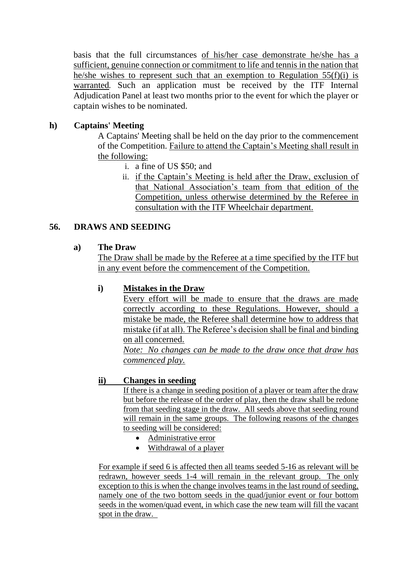basis that the full circumstances of his/her case demonstrate he/she has a sufficient, genuine connection or commitment to life and tennis in the nation that he/she wishes to represent such that an exemption to Regulation 55(f)(i) is warranted*.* Such an application must be received by the ITF Internal Adjudication Panel at least two months prior to the event for which the player or captain wishes to be nominated.

# **h) Captains' Meeting**

A Captains' Meeting shall be held on the day prior to the commencement of the Competition. Failure to attend the Captain's Meeting shall result in the following:

- i. a fine of US \$50; and
- ii. if the Captain's Meeting is held after the Draw, exclusion of that National Association's team from that edition of the Competition, unless otherwise determined by the Referee in consultation with the ITF Wheelchair department.

## **56. DRAWS AND SEEDING**

## **a) The Draw**

The Draw shall be made by the Referee at a time specified by the ITF but in any event before the commencement of the Competition.

## **i) Mistakes in the Draw**

Every effort will be made to ensure that the draws are made correctly according to these Regulations. However, should a mistake be made, the Referee shall determine how to address that mistake (if at all). The Referee's decision shall be final and binding on all concerned.

*Note: No changes can be made to the draw once that draw has commenced play.*

## **ii) Changes in seeding**

If there is a change in seeding position of a player or team after the draw but before the release of the order of play, then the draw shall be redone from that seeding stage in the draw. All seeds above that seeding round will remain in the same groups. The following reasons of the changes to seeding will be considered:

- Administrative error
- Withdrawal of a player

For example if seed 6 is affected then all teams seeded 5-16 as relevant will be redrawn, however seeds 1-4 will remain in the relevant group. The only exception to this is when the change involves teams in the last round of seeding. namely one of the two bottom seeds in the quad/junior event or four bottom seeds in the women/quad event, in which case the new team will fill the vacant spot in the draw.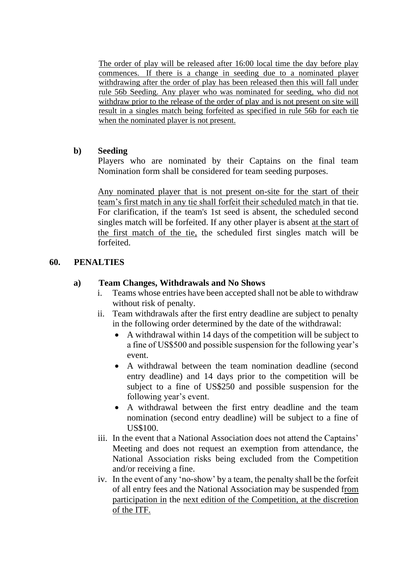The order of play will be released after 16:00 local time the day before play commences. If there is a change in seeding due to a nominated player withdrawing after the order of play has been released then this will fall under rule 56b Seeding. Any player who was nominated for seeding, who did not withdraw prior to the release of the order of play and is not present on site will result in a singles match being forfeited as specified in rule 56b for each tie when the nominated player is not present.

#### **b) Seeding**

Players who are nominated by their Captains on the final team Nomination form shall be considered for team seeding purposes.

Any nominated player that is not present on-site for the start of their team's first match in any tie shall forfeit their scheduled match in that tie. For clarification, if the team's 1st seed is absent, the scheduled second singles match will be forfeited. If any other player is absent at the start of the first match of the tie, the scheduled first singles match will be forfeited.

## **60. PENALTIES**

#### **a) Team Changes, Withdrawals and No Shows**

- i. Teams whose entries have been accepted shall not be able to withdraw without risk of penalty.
- ii. Team withdrawals after the first entry deadline are subject to penalty in the following order determined by the date of the withdrawal:
	- A withdrawal within 14 days of the competition will be subject to a fine of US\$500 and possible suspension for the following year's event.
	- A withdrawal between the team nomination deadline (second entry deadline) and 14 days prior to the competition will be subject to a fine of US\$250 and possible suspension for the following year's event.
	- A withdrawal between the first entry deadline and the team nomination (second entry deadline) will be subject to a fine of US\$100.
- iii. In the event that a National Association does not attend the Captains' Meeting and does not request an exemption from attendance, the National Association risks being excluded from the Competition and/or receiving a fine.
- iv. In the event of any 'no-show' by a team, the penalty shall be the forfeit of all entry fees and the National Association may be suspended from participation in the next edition of the Competition, at the discretion of the ITF.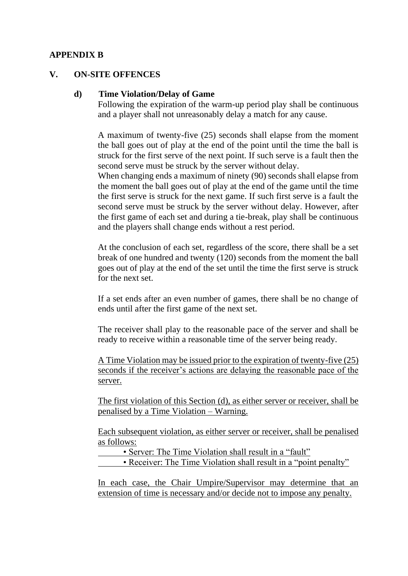#### **APPENDIX B**

#### **V. ON-SITE OFFENCES**

#### **d) Time Violation/Delay of Game**

Following the expiration of the warm-up period play shall be continuous and a player shall not unreasonably delay a match for any cause.

A maximum of twenty-five (25) seconds shall elapse from the moment the ball goes out of play at the end of the point until the time the ball is struck for the first serve of the next point. If such serve is a fault then the second serve must be struck by the server without delay.

When changing ends a maximum of ninety (90) seconds shall elapse from the moment the ball goes out of play at the end of the game until the time the first serve is struck for the next game. If such first serve is a fault the second serve must be struck by the server without delay. However, after the first game of each set and during a tie-break, play shall be continuous and the players shall change ends without a rest period.

At the conclusion of each set, regardless of the score, there shall be a set break of one hundred and twenty (120) seconds from the moment the ball goes out of play at the end of the set until the time the first serve is struck for the next set.

If a set ends after an even number of games, there shall be no change of ends until after the first game of the next set.

The receiver shall play to the reasonable pace of the server and shall be ready to receive within a reasonable time of the server being ready.

A Time Violation may be issued prior to the expiration of twenty-five (25) seconds if the receiver's actions are delaying the reasonable pace of the server.

The first violation of this Section (d), as either server or receiver, shall be penalised by a Time Violation – Warning.

Each subsequent violation, as either server or receiver, shall be penalised as follows:

• Server: The Time Violation shall result in a "fault"

• Receiver: The Time Violation shall result in a "point penalty"

In each case, the Chair Umpire/Supervisor may determine that an extension of time is necessary and/or decide not to impose any penalty.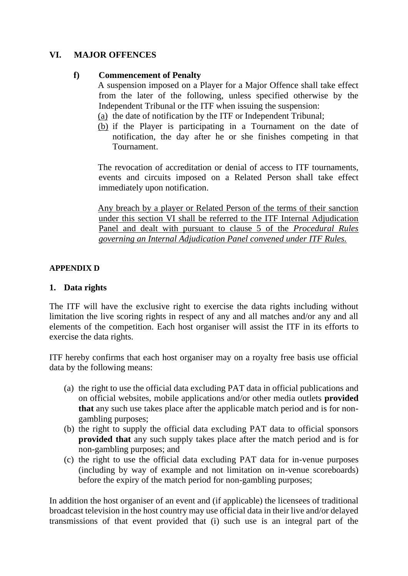# **VI. MAJOR OFFENCES**

## **f) Commencement of Penalty**

A suspension imposed on a Player for a Major Offence shall take effect from the later of the following, unless specified otherwise by the Independent Tribunal or the ITF when issuing the suspension:

- (a) the date of notification by the ITF or Independent Tribunal;
- (b) if the Player is participating in a Tournament on the date of notification, the day after he or she finishes competing in that Tournament.

The revocation of accreditation or denial of access to ITF tournaments, events and circuits imposed on a Related Person shall take effect immediately upon notification.

Any breach by a player or Related Person of the terms of their sanction under this section VI shall be referred to the ITF Internal Adjudication Panel and dealt with pursuant to clause 5 of the *Procedural Rules governing an Internal Adjudication Panel convened under ITF Rules.*

## **APPENDIX D**

# **1. Data rights**

The ITF will have the exclusive right to exercise the data rights including without limitation the live scoring rights in respect of any and all matches and/or any and all elements of the competition. Each host organiser will assist the ITF in its efforts to exercise the data rights.

ITF hereby confirms that each host organiser may on a royalty free basis use official data by the following means:

- (a) the right to use the official data excluding PAT data in official publications and on official websites, mobile applications and/or other media outlets **provided that** any such use takes place after the applicable match period and is for nongambling purposes;
- (b) the right to supply the official data excluding PAT data to official sponsors **provided that** any such supply takes place after the match period and is for non-gambling purposes; and
- (c) the right to use the official data excluding PAT data for in-venue purposes (including by way of example and not limitation on in-venue scoreboards) before the expiry of the match period for non-gambling purposes;

In addition the host organiser of an event and (if applicable) the licensees of traditional broadcast television in the host country may use official data in their live and/or delayed transmissions of that event provided that (i) such use is an integral part of the